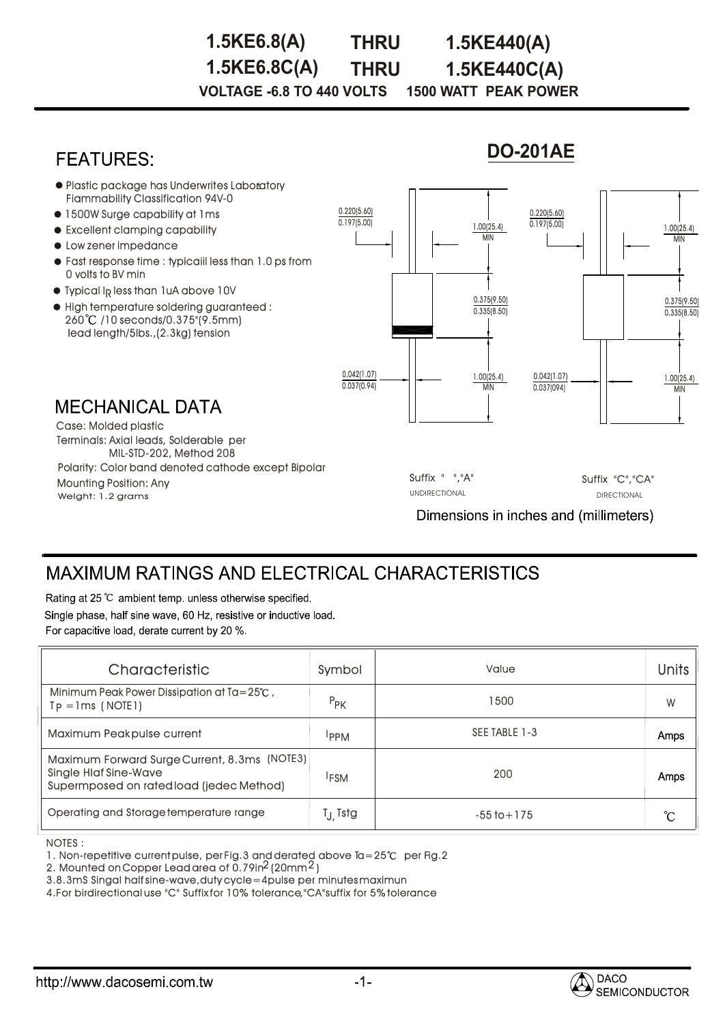## **1.5KE6.8C(A) THRU 1.5KE440C(A) VOLTAGE -6.8 TO 440 VOLTS 1500 WATT PEAK POWER 1.5KE6.8(A) THRU 1.5KE440(A)**

# **FEATURES**

## **DO-201AE**



# **MAXIMUM RATINGS AND ELECTRICAL CHARACTERISTICS**

Rating at 25 °C ambient temp. unless otherwise specified. Single phase, half sine wave, 60 Hz, resistive or inductive load.

For capacitive load, derate current by 20 %.

| Characteristic                                                                                                           | Symbol              | Value           | Units       |
|--------------------------------------------------------------------------------------------------------------------------|---------------------|-----------------|-------------|
| Minimum Peak Power Dissipation at Ta=25°C,<br>$Tp = Ims$ (NOTE1)                                                         | $P_{PK}$            | 1500            | W           |
| Maximum Peakpulse current                                                                                                | <b>PPM</b>          | SEE TABLE 1-3   | Amps        |
| Maximum Forward Surge Current, 8.3ms (NOTE3)<br><b>Single Hlaf Sine-Wave</b><br>Supermposed on rated load (jedec Method) | <sup>I</sup> FSM    | 200             | <b>Amps</b> |
| Operating and Storage temperature range                                                                                  | T <sub>J</sub> Tstg | $-55$ to $+175$ | °C          |

NOTES : :

1. Non-repetitive current pulse, per Fig.3 and derated above Ta=25°C per Fig.2

2. Mounted on Copper Lead area of  $0.79$ in $^2$  (20mm $^2$ )

3.8.3mS Singal half sine-wave,duty cycle=4pulse per minutes maximun

4.For birdirectional use "C" Suffix for 10% tolerance,"CA"suffix for 5% tolerance

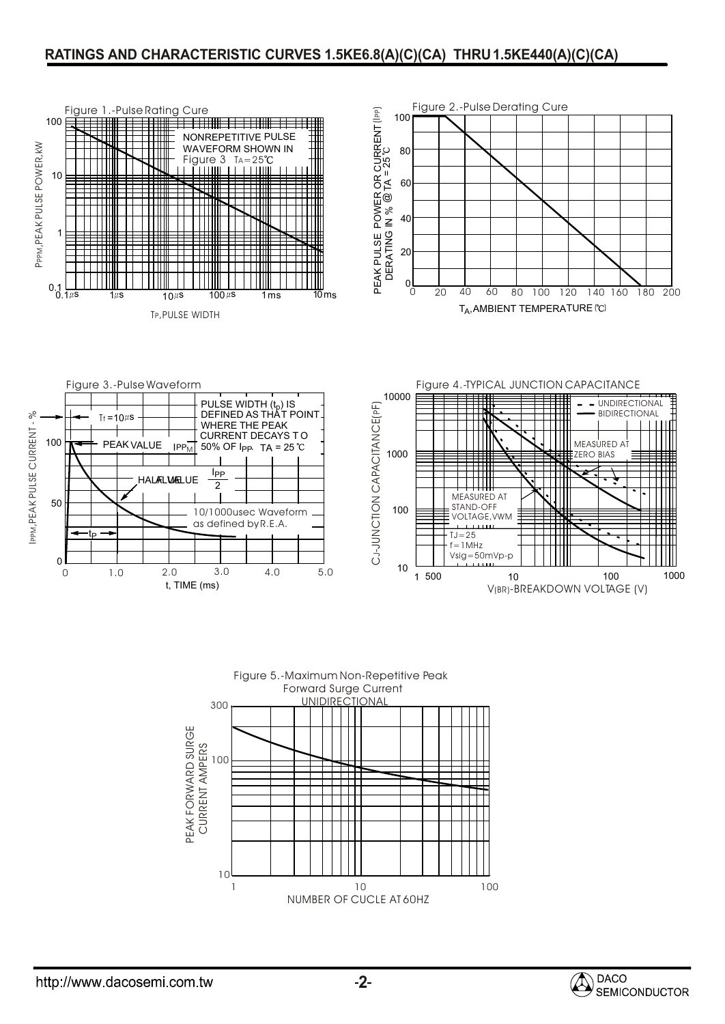#### **RATINGS AND CHARACTERISTIC CURVES 1.5KE6.8(A)(C)(CA) THRU1.5KE440(A)(C)(CA)**





http://www.dacosemi.com.tw

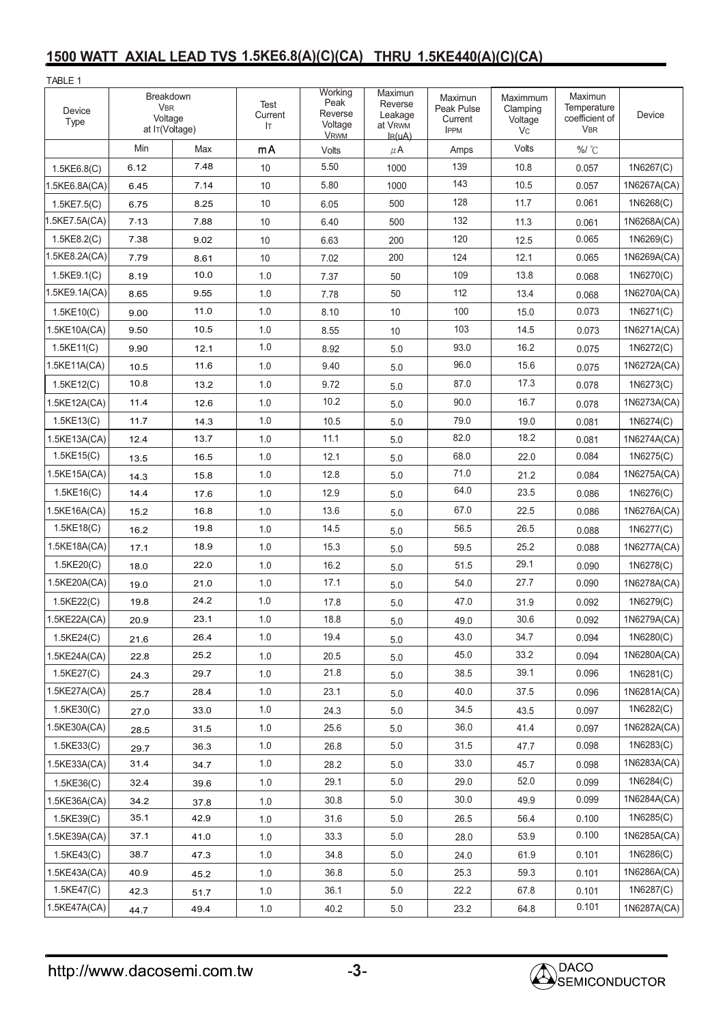## **1500 WATT AXIAL LEAD TVS 1.5KE6.8(A)(C)(CA) THRU 1.5KE440(A)(C)(CA)**

| TABLE 1           |                                                      |      |                       |                                                      |                                                         |                                                 |                                       |                                                        |             |
|-------------------|------------------------------------------------------|------|-----------------------|------------------------------------------------------|---------------------------------------------------------|-------------------------------------------------|---------------------------------------|--------------------------------------------------------|-------------|
| Device<br>Type    | Breakdown<br><b>VBR</b><br>Voltage<br>at IT(Voltage) |      | Test<br>Current<br>Iт | Working<br>Peak<br>Reverse<br>Voltage<br><b>VRWM</b> | Maximun<br>Reverse<br>Leakage<br>at VRWM<br>$I_{R}(uA)$ | Maximun<br>Peak Pulse<br>Current<br><b>IPPM</b> | Maximmum<br>Clamping<br>Voltage<br>Vc | Maximun<br>Temperature<br>coefficient of<br><b>VBR</b> | Device      |
|                   | Min                                                  | Max  | mA                    | Volts                                                | $\mu$ A                                                 | Amps                                            | Volts                                 | %/ °C                                                  |             |
| 1.5KE6.8(C)       | 6.12                                                 | 7.48 | 10                    | 5.50                                                 | 1000                                                    | 139                                             | 10.8                                  | 0.057                                                  | 1N6267(C)   |
| 1.5KE6.8A(CA)     | 6.45                                                 | 7.14 | 10                    | 5.80                                                 | 1000                                                    | 143                                             | 10.5                                  | 0.057                                                  | 1N6267A(CA) |
| $1.5$ KE7.5(C)    | 6.75                                                 | 8.25 | 10                    | 6.05                                                 | 500                                                     | 128                                             | 11.7                                  | 0.061                                                  | 1N6268(C)   |
| 1.5KE7.5A(CA)     | 7.13                                                 | 7.88 | 10                    | 6.40                                                 | 500                                                     | 132                                             | 11.3                                  | 0.061                                                  | 1N6268A(CA) |
| 1.5KE8.2(C)       | 7.38                                                 | 9.02 | 10                    | 6.63                                                 | 200                                                     | 120                                             | 12.5                                  | 0.065                                                  | 1N6269(C)   |
| 1.5KE8.2A(CA)     | 7.79                                                 | 8.61 | 10                    | 7.02                                                 | 200                                                     | 124                                             | 12.1                                  | 0.065                                                  | 1N6269A(CA) |
| 1.5KE9.1(C)       | 8.19                                                 | 10.0 | 1.0                   | 7.37                                                 | 50                                                      | 109                                             | 13.8                                  | 0.068                                                  | 1N6270(C)   |
| 1.5KE9.1A(CA)     | 8.65                                                 | 9.55 | 1.0                   | 7.78                                                 | 50                                                      | 112                                             | 13.4                                  | 0.068                                                  | 1N6270A(CA) |
| $1.5$ KE $10$ (C) | 9.00                                                 | 11.0 | 1.0                   | 8.10                                                 | 10                                                      | 100                                             | 15.0                                  | 0.073                                                  | 1N6271(C)   |
| 1.5KE10A(CA)      | 9.50                                                 | 10.5 | 1.0                   | 8.55                                                 | 10                                                      | 103                                             | 14.5                                  | 0.073                                                  | 1N6271A(CA) |
| 1.5KE11(C)        | 9.90                                                 | 12.1 | 1.0                   | 8.92                                                 | 5.0                                                     | 93.0                                            | 16.2                                  | 0.075                                                  | 1N6272(C)   |
| 1.5KE11A(CA)      | 10.5                                                 | 11.6 | 1.0                   | 9.40                                                 | 5.0                                                     | 96.0                                            | 15.6                                  | 0.075                                                  | 1N6272A(CA) |
| 1.5KE12(C)        | 10.8                                                 | 13.2 | 1.0                   | 9.72                                                 | 5.0                                                     | 87.0                                            | 17.3                                  | 0.078                                                  | 1N6273(C)   |
| 1.5KE12A(CA)      | 11.4                                                 | 12.6 | 1.0                   | 10.2                                                 | 5.0                                                     | 90.0                                            | 16.7                                  | 0.078                                                  | 1N6273A(CA) |
| 1.5KE13(C)        | 11.7                                                 | 14.3 | 1.0                   | 10.5                                                 | 5.0                                                     | 79.0                                            | 19.0                                  | 0.081                                                  | 1N6274(C)   |
| 1.5KE13A(CA)      | 12.4                                                 | 13.7 | 1.0                   | 11.1                                                 | 5.0                                                     | 82.0                                            | 18.2                                  | 0.081                                                  | 1N6274A(CA) |
| 1.5KE15(C)        | 13.5                                                 | 16.5 | 1.0                   | 12.1                                                 | 5.0                                                     | 68.0                                            | 22.0                                  | 0.084                                                  | 1N6275(C)   |
| 1.5KE15A(CA)      | 14.3                                                 | 15.8 | 1.0                   | 12.8                                                 | 5.0                                                     | 71.0                                            | 21.2                                  | 0.084                                                  | 1N6275A(CA) |
| 1.5KE16(C)        | 14.4                                                 | 17.6 | 1.0                   | 12.9                                                 | 5.0                                                     | 64.0                                            | 23.5                                  | 0.086                                                  | 1N6276(C)   |
| 1.5KE16A(CA)      | 15.2                                                 | 16.8 | 1.0                   | 13.6                                                 | 5.0                                                     | 67.0                                            | 22.5                                  | 0.086                                                  | 1N6276A(CA) |
| 1.5KE18(C)        | 16.2                                                 | 19.8 | 1.0                   | 14.5                                                 | 5.0                                                     | 56.5                                            | 26.5                                  | 0.088                                                  | 1N6277(C)   |
| 1.5KE18A(CA)      | 17.1                                                 | 18.9 | 1.0                   | 15.3                                                 | 5.0                                                     | 59.5                                            | 25.2                                  | 0.088                                                  | 1N6277A(CA) |
| 1.5KE20(C)        | 18.0                                                 | 22.0 | 1.0                   | 16.2                                                 | 5.0                                                     | 51.5                                            | 29.1                                  | 0.090                                                  | 1N6278(C)   |
| 1.5KE20A(CA)      | 19.0                                                 | 21.0 | 1.0                   | 17.1                                                 | 5.0                                                     | 54.0                                            | 27.7                                  | 0.090                                                  | 1N6278A(CA) |
| 1.5KE22(C)        | 19.8                                                 | 24.2 | 1.0                   | 17.8                                                 | 5.0                                                     | 47.0                                            | 31.9                                  | 0.092                                                  | 1N6279(C)   |
| 1.5KE22A(CA)      | 20.9                                                 | 23.1 | 1.0                   | 18.8                                                 | 5.0                                                     | 49.0                                            | 30.6                                  | 0.092                                                  | 1N6279A(CA) |
| 1.5KE24(C)        | 21.6                                                 | 26.4 | 1.0                   | 19.4                                                 | $5.0\,$                                                 | 43.0                                            | 34.7                                  | 0.094                                                  | 1N6280(C)   |
| 1.5KE24A(CA)      | 22.8                                                 | 25.2 | $1.0\,$               | 20.5                                                 | $5.0\,$                                                 | 45.0                                            | 33.2                                  | 0.094                                                  | 1N6280A(CA) |
| 1.5KE27(C)        | 24.3                                                 | 29.7 | 1.0                   | 21.8                                                 | $5.0\,$                                                 | 38.5                                            | 39.1                                  | 0.096                                                  | 1N6281(C)   |
| 1.5KE27A(CA)      | 25.7                                                 | 28.4 | 1.0                   | 23.1                                                 | 5.0                                                     | 40.0                                            | 37.5                                  | 0.096                                                  | 1N6281A(CA) |
| $1.5$ KE $30(C)$  | 27.0                                                 | 33.0 | 1.0                   | 24.3                                                 | 5.0                                                     | 34.5                                            | 43.5                                  | 0.097                                                  | 1N6282(C)   |
| 1.5KE30A(CA)      | 28.5                                                 | 31.5 | 1.0                   | 25.6                                                 | 5.0                                                     | 36.0                                            | 41.4                                  | 0.097                                                  | 1N6282A(CA) |
| 1.5KE33(C)        | 29.7                                                 | 36.3 | 1.0                   | 26.8                                                 | 5.0                                                     | 31.5                                            | 47.7                                  | 0.098                                                  | 1N6283(C)   |
| 1.5KE33A(CA)      | 31.4                                                 | 34.7 | 1.0                   | 28.2                                                 | 5.0                                                     | 33.0                                            | 45.7                                  | 0.098                                                  | 1N6283A(CA) |
| $1.5$ KE $36$ (C) | 32.4                                                 | 39.6 | 1.0                   | 29.1                                                 | 5.0                                                     | 29.0                                            | 52.0                                  | 0.099                                                  | 1N6284(C)   |
| 1.5KE36A(CA)      | 34.2                                                 | 37.8 | 1.0                   | 30.8                                                 | $5.0\,$                                                 | 30.0                                            | 49.9                                  | 0.099                                                  | 1N6284A(CA) |
| 1.5KE39(C)        | 35.1                                                 | 42.9 | 1.0                   | 31.6                                                 | 5.0                                                     | 26.5                                            | 56.4                                  | 0.100                                                  | 1N6285(C)   |
| 1.5KE39A(CA)      | 37.1                                                 | 41.0 | 1.0                   | 33.3                                                 | 5.0                                                     | 28.0                                            | 53.9                                  | 0.100                                                  | 1N6285A(CA) |
| 1.5KE43(C)        | 38.7                                                 | 47.3 | 1.0                   | 34.8                                                 | 5.0                                                     | 24.0                                            | 61.9                                  | 0.101                                                  | 1N6286(C)   |
| 1.5KE43A(CA)      | 40.9                                                 | 45.2 | 1.0                   | 36.8                                                 | 5.0                                                     | 25.3                                            | 59.3                                  | 0.101                                                  | 1N6286A(CA) |
| 1.5KE47(C)        | 42.3                                                 | 51.7 | 1.0                   | 36.1                                                 | 5.0                                                     | 22.2                                            | 67.8                                  | 0.101                                                  | 1N6287(C)   |
| 1.5KE47A(CA)      | 44.7                                                 | 49.4 | $1.0$                 | 40.2                                                 | $5.0\,$                                                 | 23.2                                            | 64.8                                  | 0.101                                                  | 1N6287A(CA) |

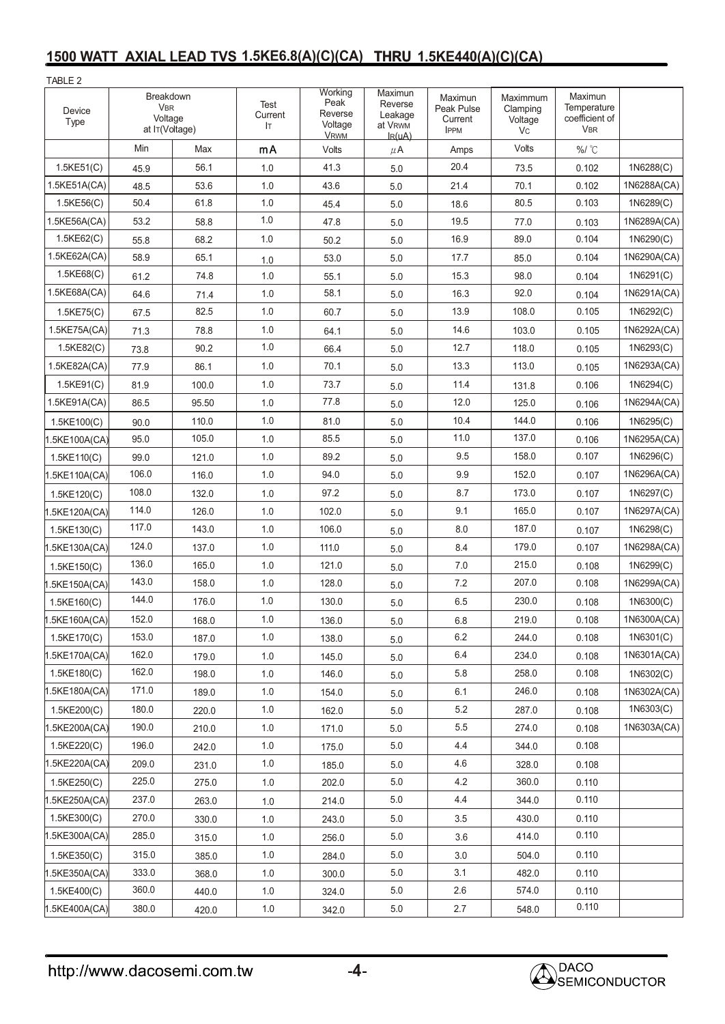## **1500 WATT AXIAL LEAD TVS 1.5KE6.8(A)(C)(CA) THRU 1.5KE440(A)(C)(CA)**

| TABLE 2           |                                                      |       |                       |                                                      |                                                         |                                                 |                                        |                                                        |             |
|-------------------|------------------------------------------------------|-------|-----------------------|------------------------------------------------------|---------------------------------------------------------|-------------------------------------------------|----------------------------------------|--------------------------------------------------------|-------------|
| Device<br>Type    | Breakdown<br><b>VBR</b><br>Voltage<br>at IT(Voltage) |       | Test<br>Current<br>Iт | Working<br>Peak<br>Reverse<br>Voltage<br><b>VRWM</b> | Maximun<br>Reverse<br>Leakage<br>at VRWM<br>$I_{R}(uA)$ | Maximun<br>Peak Pulse<br>Current<br><b>IPPM</b> | Maximmum<br>Clamping<br>Voltage<br>Vc. | Maximun<br>Temperature<br>coefficient of<br><b>VBR</b> |             |
|                   | Min                                                  | Max   | mA                    | Volts                                                | $\mu$ A                                                 | Amps                                            | Volts                                  | %/ °C                                                  |             |
| $1.5$ KE $51$ (C) | 45.9                                                 | 56.1  | 1.0                   | 41.3                                                 | 5.0                                                     | 20.4                                            | 73.5                                   | 0.102                                                  | 1N6288(C)   |
| 1.5KE51A(CA)      | 48.5                                                 | 53.6  | 1.0                   | 43.6                                                 | 5.0                                                     | 21.4                                            | 70.1                                   | 0.102                                                  | 1N6288A(CA) |
| 1.5KE56(C)        | 50.4                                                 | 61.8  | 1.0                   | 45.4                                                 | 5.0                                                     | 18.6                                            | 80.5                                   | 0.103                                                  | 1N6289(C)   |
| 1.5KE56A(CA)      | 53.2                                                 | 58.8  | 1.0                   | 47.8                                                 | 5.0                                                     | 19.5                                            | 77.0                                   | 0.103                                                  | 1N6289A(CA) |
| 1.5KE62(C)        | 55.8                                                 | 68.2  | 1.0                   | 50.2                                                 | 5.0                                                     | 16.9                                            | 89.0                                   | 0.104                                                  | 1N6290(C)   |
| 1.5KE62A(CA)      | 58.9                                                 | 65.1  | 1.0                   | 53.0                                                 | 5.0                                                     | 17.7                                            | 85.0                                   | 0.104                                                  | 1N6290A(CA) |
| 1.5KE68(C)        | 61.2                                                 | 74.8  | 1.0                   | 55.1                                                 | 5.0                                                     | 15.3                                            | 98.0                                   | 0.104                                                  | 1N6291(C)   |
| 1.5KE68A(CA)      | 64.6                                                 | 71.4  | 1.0                   | 58.1                                                 | 5.0                                                     | 16.3                                            | 92.0                                   | 0.104                                                  | 1N6291A(CA) |
| 1.5KE75(C)        | 67.5                                                 | 82.5  | 1.0                   | 60.7                                                 | 5.0                                                     | 13.9                                            | 108.0                                  | 0.105                                                  | 1N6292(C)   |
| 1.5KE75A(CA)      | 71.3                                                 | 78.8  | 1.0                   | 64.1                                                 | 5.0                                                     | 14.6                                            | 103.0                                  | 0.105                                                  | 1N6292A(CA) |
| 1.5KE82(C)        | 73.8                                                 | 90.2  | 1.0                   | 66.4                                                 | 5.0                                                     | 12.7                                            | 118.0                                  | 0.105                                                  | 1N6293(C)   |
| 1.5KE82A(CA)      | 77.9                                                 | 86.1  | 1.0                   | 70.1                                                 | 5.0                                                     | 13.3                                            | 113.0                                  | 0.105                                                  | 1N6293A(CA) |
| $1.5$ KE $91$ (C) | 81.9                                                 | 100.0 | 1.0                   | 73.7                                                 | 5.0                                                     | 11.4                                            | 131.8                                  | 0.106                                                  | 1N6294(C)   |
| 1.5KE91A(CA)      | 86.5                                                 | 95.50 | 1.0                   | 77.8                                                 | 5.0                                                     | 12.0                                            | 125.0                                  | 0.106                                                  | 1N6294A(CA) |
| 1.5KE100(C)       | 90.0                                                 | 110.0 | 1.0                   | 81.0                                                 | 5.0                                                     | 10.4                                            | 144.0                                  | 0.106                                                  | 1N6295(C)   |
| 1.5KE100A(CA)     | 95.0                                                 | 105.0 | 1.0                   | 85.5                                                 | 5.0                                                     | 11.0                                            | 137.0                                  | 0.106                                                  | 1N6295A(CA) |
| 1.5KE110(C)       | 99.0                                                 | 121.0 | 1.0                   | 89.2                                                 | 5.0                                                     | 9.5                                             | 158.0                                  | 0.107                                                  | 1N6296(C)   |
| 1.5KE110A(CA)     | 106.0                                                | 116.0 | 1.0                   | 94.0                                                 | 5.0                                                     | 9.9                                             | 152.0                                  | 0.107                                                  | 1N6296A(CA) |
| 1.5KE120(C)       | 108.0                                                | 132.0 | 1.0                   | 97.2                                                 | 5.0                                                     | 8.7                                             | 173.0                                  | 0.107                                                  | 1N6297(C)   |
| 1.5KE120A(CA)     | 114.0                                                | 126.0 | 1.0                   | 102.0                                                | 5.0                                                     | 9.1                                             | 165.0                                  | 0.107                                                  | 1N6297A(CA) |
| 1.5KE130(C)       | 117.0                                                | 143.0 | 1.0                   | 106.0                                                | 5.0                                                     | 8.0                                             | 187.0                                  | 0.107                                                  | 1N6298(C)   |
| 1.5KE130A(CA)     | 124.0                                                | 137.0 | 1.0                   | 111.0                                                | 5.0                                                     | 8.4                                             | 179.0                                  | 0.107                                                  | 1N6298A(CA) |
| 1.5KE150(C)       | 136.0                                                | 165.0 | 1.0                   | 121.0                                                | 5.0                                                     | 7.0                                             | 215.0                                  | 0.108                                                  | 1N6299(C)   |
| 1.5KE150A(CA)     | 143.0                                                | 158.0 | 1.0                   | 128.0                                                | $5.0$                                                   | 7.2                                             | 207.0                                  | 0.108                                                  | 1N6299A(CA) |
| 1.5KE160(C)       | 144.0                                                | 176.0 | 1.0                   | 130.0                                                | 5.0                                                     | 6.5                                             | 230.0                                  | 0.108                                                  | 1N6300(C)   |
| $1.5$ KE160A(CA)  | 152.0                                                | 168.0 | 1.0                   | 136.0                                                | 5.0                                                     | 6.8                                             | 219.0                                  | 0.108                                                  | 1N6300A(CA) |
| 1.5KE170(C)       | 153.0                                                | 187.0 | 1.0                   | 138.0                                                | 5.0                                                     | 6.2                                             | 244.0                                  | 0.108                                                  | 1N6301(C)   |
| 1.5KE170A(CA)     | 162.0                                                | 179.0 | 1.0                   | 145.0                                                | 5.0                                                     | 6.4                                             | 234.0                                  | 0.108                                                  | 1N6301A(CA) |
| 1.5KE180(C)       | 162.0                                                | 198.0 | 1.0                   | 146.0                                                | $5.0\,$                                                 | 5.8                                             | 258.0                                  | 0.108                                                  | 1N6302(C)   |
| 1.5KE180A(CA)     | 171.0                                                | 189.0 | 1.0                   | 154.0                                                | 5.0                                                     | 6.1                                             | 246.0                                  | 0.108                                                  | 1N6302A(CA) |
| 1.5KE200(C)       | 180.0                                                | 220.0 | 1.0                   | 162.0                                                | 5.0                                                     | 5.2                                             | 287.0                                  | 0.108                                                  | 1N6303(C)   |
| 1.5KE200A(CA)     | 190.0                                                | 210.0 | 1.0                   | 171.0                                                | 5.0                                                     | 5.5                                             | 274.0                                  | 0.108                                                  | 1N6303A(CA) |
| 1.5KE220(C)       | 196.0                                                | 242.0 | 1.0                   | 175.0                                                | 5.0                                                     | 4.4                                             | 344.0                                  | 0.108                                                  |             |
| 1.5KE220A(CA)     | 209.0                                                | 231.0 | 1.0                   | 185.0                                                | 5.0                                                     | 4.6                                             | 328.0                                  | 0.108                                                  |             |
| 1.5KE250(C)       | 225.0                                                | 275.0 | 1.0                   | 202.0                                                | 5.0                                                     | 4.2                                             | 360.0                                  | 0.110                                                  |             |
| 1.5KE250A(CA)     | 237.0                                                | 263.0 | 1.0                   | 214.0                                                | $5.0\,$                                                 | 4.4                                             | 344.0                                  | 0.110                                                  |             |
| $1.5$ KE300(C)    | 270.0                                                | 330.0 | 1.0                   | 243.0                                                | 5.0                                                     | 3.5                                             | 430.0                                  | 0.110                                                  |             |
| 1.5KE300A(CA)     | 285.0                                                | 315.0 | 1.0                   | 256.0                                                | 5.0                                                     | 3.6                                             | 414.0                                  | 0.110                                                  |             |
| 1.5KE350(C)       | 315.0                                                | 385.0 | 1.0                   | 284.0                                                | 5.0                                                     | 3.0                                             | 504.0                                  | 0.110                                                  |             |
| 1.5KE350A(CA)     | 333.0                                                | 368.0 | 1.0                   | 300.0                                                | 5.0                                                     | 3.1                                             | 482.0                                  | 0.110                                                  |             |
| 1.5KE400(C)       | 360.0                                                | 440.0 | 1.0                   | 324.0                                                | 5.0                                                     | 2.6                                             | 574.0                                  | 0.110                                                  |             |
| 1.5KE400A(CA)     | 380.0                                                | 420.0 | 1.0                   | 342.0                                                | $5.0\,$                                                 | 2.7                                             | 548.0                                  | 0.110                                                  |             |